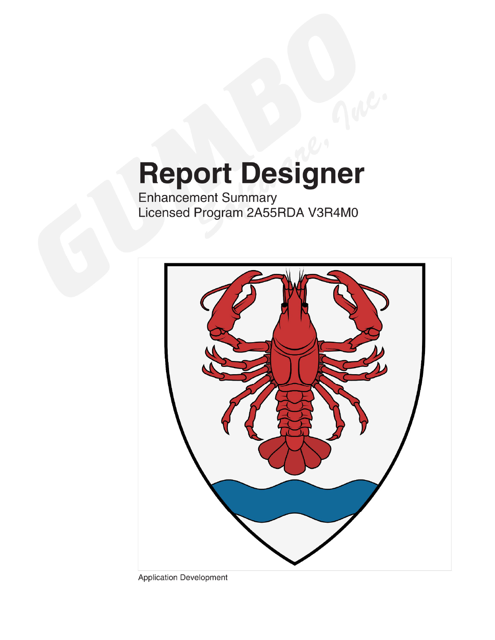# **Report Designer**

Enhancement Summary<br>Licensed Program 2A55RDA V3R4M0



**Application Development**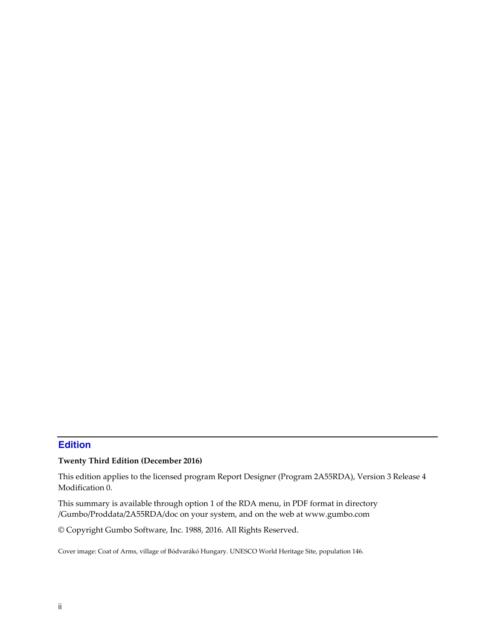# <span id="page-1-0"></span>**Edition**

#### **Twenty Third Edition (December 2016)**

This edition applies to the licensed program Report Designer (Program 2A55RDA), Version 3 Release 4 Modification 0.

This summary is available through option 1 of the RDA menu, in PDF format in directory /Gumbo/Proddata/2A55RDA/doc on your system, and on the web at www.gumbo.com

© Copyright Gumbo Software, Inc. 1988, 2016. All Rights Reserved.

Cover image: Coat of Arms, village of Bódvarákó Hungary. UNESCO World Heritage Site, population 146.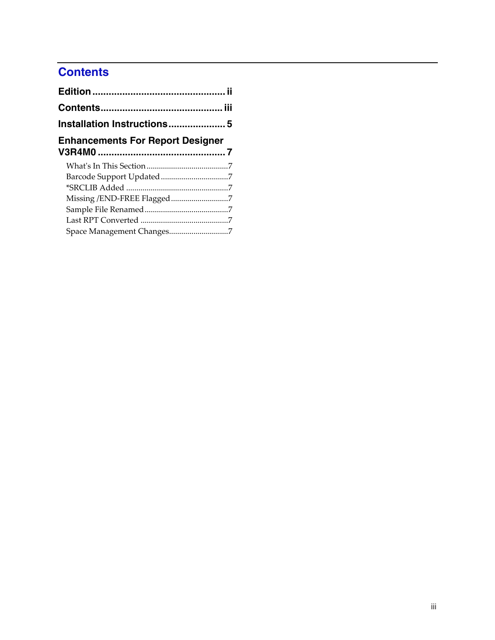# <span id="page-2-0"></span>**Contents**

| <b>Enhancements For Report Designer</b> |  |
|-----------------------------------------|--|
|                                         |  |
|                                         |  |
|                                         |  |
|                                         |  |
|                                         |  |
|                                         |  |
| Space Management Changes7               |  |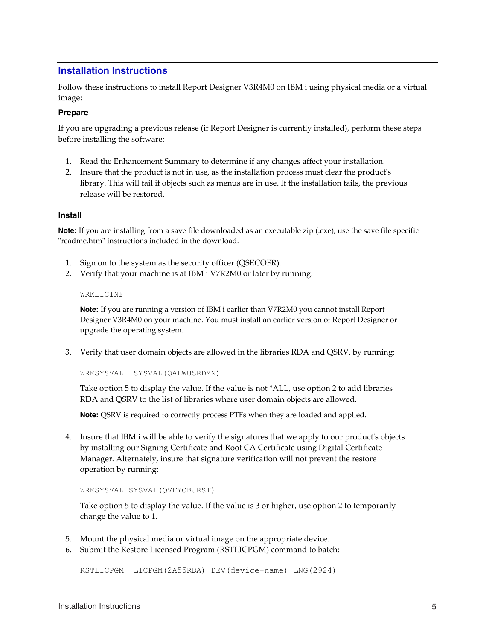## <span id="page-4-0"></span>**Installation Instructions**

Follow these instructions to install Report Designer V3R4M0 on IBM i using physical media or a virtual image:

#### **Prepare**

If you are upgrading a previous release (if Report Designer is currently installed), perform these steps before installing the software:

- 1. Read the Enhancement Summary to determine if any changes affect your installation.
- 2. Insure that the product is not in use, as the installation process must clear the product's library. This will fail if objects such as menus are in use. If the installation fails, the previous release will be restored.

#### **Install**

**Note:** If you are installing from a save file downloaded as an executable zip (.exe), use the save file specific "readme.htm" instructions included in the download.

- 1. Sign on to the system as the security officer (QSECOFR).
- 2. Verify that your machine is at IBM i V7R2M0 or later by running:

#### WRKLICINF

**Note:** If you are running a version of IBM i earlier than V7R2M0 you cannot install Report Designer V3R4M0 on your machine. You must install an earlier version of Report Designer or upgrade the operating system.

3. Verify that user domain objects are allowed in the libraries RDA and QSRV, by running:

WRKSYSVAL SYSVAL(QALWUSRDMN)

Take option 5 to display the value. If the value is not \*ALL, use option 2 to add libraries RDA and QSRV to the list of libraries where user domain objects are allowed.

**Note:** QSRV is required to correctly process PTFs when they are loaded and applied.

4. Insure that IBM i will be able to verify the signatures that we apply to our product's objects by installing our Signing Certificate and Root CA Certificate using Digital Certificate Manager. Alternately, insure that signature verification will not prevent the restore operation by running:

WRKSYSVAL SYSVAL(QVFYOBJRST)

Take option 5 to display the value. If the value is 3 or higher, use option 2 to temporarily change the value to 1.

- 5. Mount the physical media or virtual image on the appropriate device.
- 6. Submit the Restore Licensed Program (RSTLICPGM) command to batch:

RSTLICPGM LICPGM(2A55RDA) DEV(device-name) LNG(2924)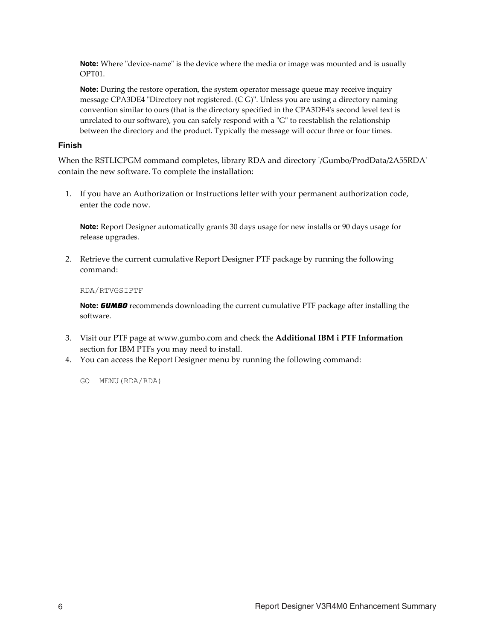**Note:** Where "device-name" is the device where the media or image was mounted and is usually OPT01.

**Note:** During the restore operation, the system operator message queue may receive inquiry message CPA3DE4 "Directory not registered. (C G)". Unless you are using a directory naming convention similar to ours (that is the directory specified in the CPA3DE4ʹs second level text is unrelated to our software), you can safely respond with a "G" to reestablish the relationship between the directory and the product. Typically the message will occur three or four times.

#### **Finish**

When the RSTLICPGM command completes, library RDA and directory ʹ/Gumbo/ProdData/2A55RDAʹ contain the new software. To complete the installation:

1. If you have an Authorization or Instructions letter with your permanent authorization code, enter the code now.

**Note:** Report Designer automatically grants 30 days usage for new installs or 90 days usage for release upgrades.

2. Retrieve the current cumulative Report Designer PTF package by running the following command:

#### RDA/RTVGSIPTF

**Note:** *GUMBO* recommends downloading the current cumulative PTF package after installing the software.

- 3. Visit our PTF page at www.gumbo.com and check the **Additional IBM i PTF Information** section for IBM PTFs you may need to install.
- 4. You can access the Report Designer menu by running the following command:
	- GO MENU(RDA/RDA)